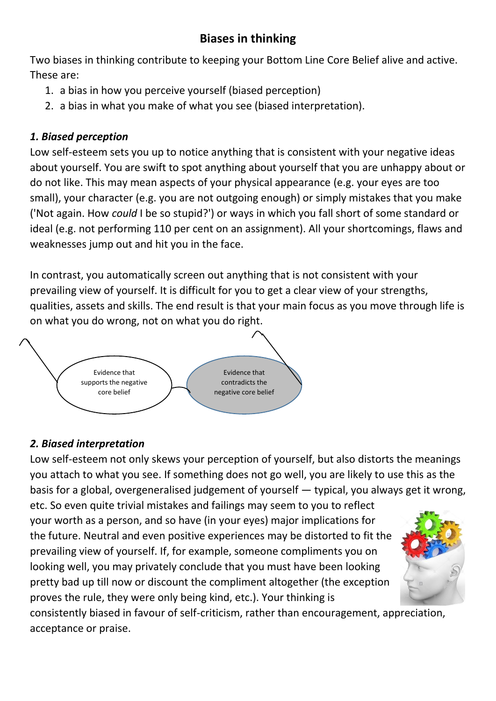## **Biases in thinking**

Two biases in thinking contribute to keeping your Bottom Line Core Belief alive and active. These are:

- 1. a bias in how you perceive yourself (biased perception)
- 2. a bias in what you make of what you see (biased interpretation).

## *1. Biased perception*

Low self-esteem sets you up to notice anything that is consistent with your negative ideas about yourself. You are swift to spot anything about yourself that you are unhappy about or do not like. This may mean aspects of your physical appearance (e.g. your eyes are too small), your character (e.g. you are not outgoing enough) or simply mistakes that you make ('Not again. How *could* I be so stupid?') or ways in which you fall short of some standard or ideal (e.g. not performing 110 per cent on an assignment). All your shortcomings, flaws and weaknesses jump out and hit you in the face.

In contrast, you automatically screen out anything that is not consistent with your prevailing view of yourself. It is difficult for you to get a clear view of your strengths, qualities, assets and skills. The end result is that your main focus as you move through life is on what you do wrong, not on what you do right.



## *2. Biased interpretation*

Low self-esteem not only skews your perception of yourself, but also distorts the meanings you attach to what you see. If something does not go well, you are likely to use this as the basis for a global, overgeneralised judgement of yourself — typical, you always get it wrong,

etc. So even quite trivial mistakes and failings may seem to you to reflect your worth as a person, and so have (in your eyes) major implications for the future. Neutral and even positive experiences may be distorted to fit the prevailing view of yourself. If, for example, someone compliments you on looking well, you may privately conclude that you must have been looking pretty bad up till now or discount the compliment altogether (the exception proves the rule, they were only being kind, etc.). Your thinking is



consistently biased in favour of self-criticism, rather than encouragement, appreciation, acceptance or praise.